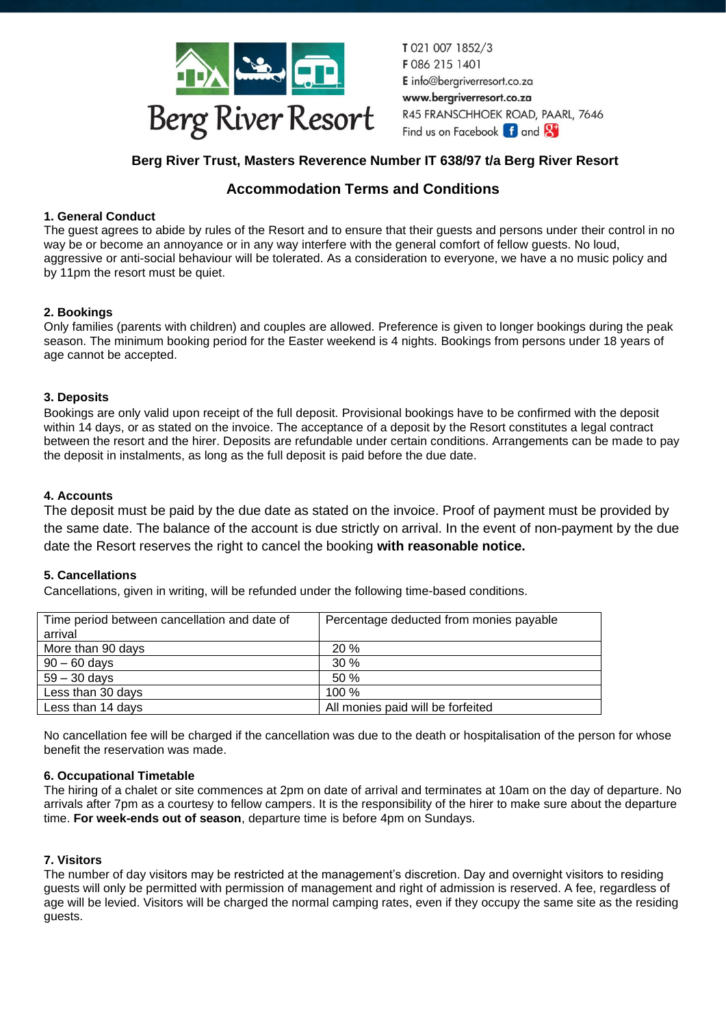

T0210071852/3 F086 215 1401 E info@bergriverresort.co.za www.bergriverresort.co.za R45 FRANSCHHOEK ROAD, PAARL, 7646 Find us on Facebook **f** and **S** 

# **Berg River Trust, Masters Reverence Number IT 638/97 t/a Berg River Resort**

# **Accommodation Terms and Conditions**

# **1. General Conduct**

The guest agrees to abide by rules of the Resort and to ensure that their guests and persons under their control in no way be or become an annoyance or in any way interfere with the general comfort of fellow guests. No loud, aggressive or anti-social behaviour will be tolerated. As a consideration to everyone, we have a no music policy and by 11pm the resort must be quiet.

# **2. Bookings**

Only families (parents with children) and couples are allowed. Preference is given to longer bookings during the peak season. The minimum booking period for the Easter weekend is 4 nights. Bookings from persons under 18 years of age cannot be accepted.

## **3. Deposits**

Bookings are only valid upon receipt of the full deposit. Provisional bookings have to be confirmed with the deposit within 14 days, or as stated on the invoice. The acceptance of a deposit by the Resort constitutes a legal contract between the resort and the hirer. Deposits are refundable under certain conditions. Arrangements can be made to pay the deposit in instalments, as long as the full deposit is paid before the due date.

# **4. Accounts**

The deposit must be paid by the due date as stated on the invoice. Proof of payment must be provided by the same date. The balance of the account is due strictly on arrival. In the event of non-payment by the due date the Resort reserves the right to cancel the booking **with reasonable notice.**

## **5. Cancellations**

Cancellations, given in writing, will be refunded under the following time-based conditions.

| Time period between cancellation and date of | Percentage deducted from monies payable |
|----------------------------------------------|-----------------------------------------|
| arrival                                      |                                         |
| More than 90 days                            | 20%                                     |
| $90 - 60$ days                               | 30%                                     |
| $59 - 30$ days                               | 50%                                     |
| Less than 30 days                            | 100%                                    |
| Less than 14 days                            | All monies paid will be forfeited       |
|                                              |                                         |

No cancellation fee will be charged if the cancellation was due to the death or hospitalisation of the person for whose benefit the reservation was made.

## **6. Occupational Timetable**

The hiring of a chalet or site commences at 2pm on date of arrival and terminates at 10am on the day of departure. No arrivals after 7pm as a courtesy to fellow campers. It is the responsibility of the hirer to make sure about the departure time. **For week-ends out of season**, departure time is before 4pm on Sundays.

## **7. Visitors**

The number of day visitors may be restricted at the management's discretion. Day and overnight visitors to residing guests will only be permitted with permission of management and right of admission is reserved. A fee, regardless of age will be levied. Visitors will be charged the normal camping rates, even if they occupy the same site as the residing guests.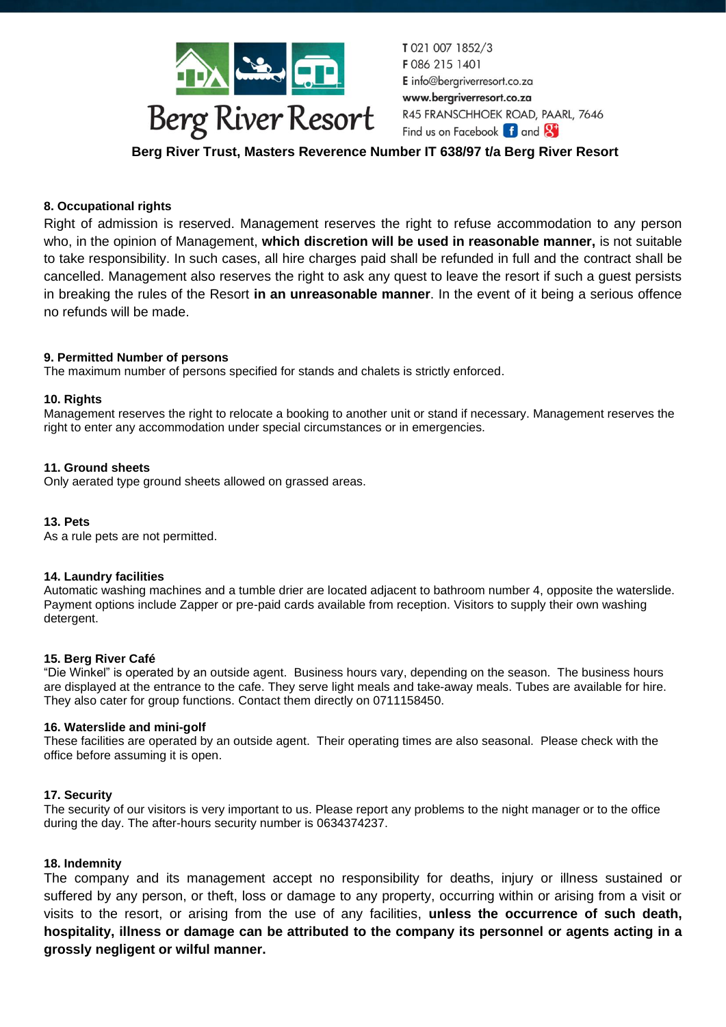

T0210071852/3 F086 215 1401 E info@bergriverresort.co.za www.bergriverresort.co.za R45 FRANSCHHOEK ROAD, PAARL, 7646 Find us on Facebook f and St

**Berg River Trust, Masters Reverence Number IT 638/97 t/a Berg River Resort**

### **8. Occupational rights**

Right of admission is reserved. Management reserves the right to refuse accommodation to any person who, in the opinion of Management, **which discretion will be used in reasonable manner,** is not suitable to take responsibility. In such cases, all hire charges paid shall be refunded in full and the contract shall be cancelled. Management also reserves the right to ask any quest to leave the resort if such a guest persists in breaking the rules of the Resort **in an unreasonable manner**. In the event of it being a serious offence no refunds will be made.

### **9. Permitted Number of persons**

The maximum number of persons specified for stands and chalets is strictly enforced.

#### **10. Rights**

Management reserves the right to relocate a booking to another unit or stand if necessary. Management reserves the right to enter any accommodation under special circumstances or in emergencies.

#### **11. Ground sheets**

Only aerated type ground sheets allowed on grassed areas.

#### **13. Pets**

As a rule pets are not permitted.

#### **14. Laundry facilities**

Automatic washing machines and a tumble drier are located adjacent to bathroom number 4, opposite the waterslide. Payment options include Zapper or pre-paid cards available from reception. Visitors to supply their own washing detergent.

#### **15. Berg River Café**

"Die Winkel" is operated by an outside agent. Business hours vary, depending on the season. The business hours are displayed at the entrance to the cafe. They serve light meals and take-away meals. Tubes are available for hire. They also cater for group functions. Contact them directly on 0711158450.

#### **16. Waterslide and mini-golf**

These facilities are operated by an outside agent. Their operating times are also seasonal. Please check with the office before assuming it is open.

#### **17. Security**

The security of our visitors is very important to us. Please report any problems to the night manager or to the office during the day. The after-hours security number is 0634374237.

#### **18. Indemnity**

The company and its management accept no responsibility for deaths, injury or illness sustained or suffered by any person, or theft, loss or damage to any property, occurring within or arising from a visit or visits to the resort, or arising from the use of any facilities, **unless the occurrence of such death, hospitality, illness or damage can be attributed to the company its personnel or agents acting in a grossly negligent or wilful manner.**